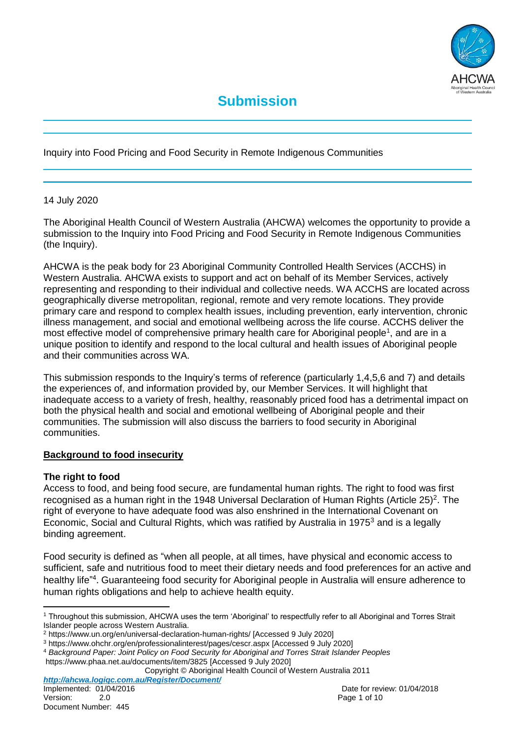

Inquiry into Food Pricing and Food Security in Remote Indigenous Communities

## 14 July 2020

The Aboriginal Health Council of Western Australia (AHCWA) welcomes the opportunity to provide a submission to the Inquiry into Food Pricing and Food Security in Remote Indigenous Communities (the Inquiry).

AHCWA is the peak body for 23 Aboriginal Community Controlled Health Services (ACCHS) in Western Australia. AHCWA exists to support and act on behalf of its Member Services, actively representing and responding to their individual and collective needs. WA ACCHS are located across geographically diverse metropolitan, regional, remote and very remote locations. They provide primary care and respond to complex health issues, including prevention, early intervention, chronic illness management, and social and emotional wellbeing across the life course. ACCHS deliver the most effective model of comprehensive primary health care for Aboriginal people<sup>1</sup>, and are in a unique position to identify and respond to the local cultural and health issues of Aboriginal people and their communities across WA.

This submission responds to the Inquiry's terms of reference (particularly 1,4,5,6 and 7) and details the experiences of, and information provided by, our Member Services. It will highlight that inadequate access to a variety of fresh, healthy, reasonably priced food has a detrimental impact on both the physical health and social and emotional wellbeing of Aboriginal people and their communities. The submission will also discuss the barriers to food security in Aboriginal communities.

### **Background to food insecurity**

# **The right to food**

Access to food, and being food secure, are fundamental human rights. The right to food was first recognised as a human right in the 1948 Universal Declaration of Human Rights (Article 25)<sup>2</sup>. The right of everyone to have adequate food was also enshrined in the International Covenant on Economic, Social and Cultural Rights, which was ratified by Australia in 1975<sup>3</sup> and is a legally binding agreement.

Food security is defined as "when all people, at all times, have physical and economic access to sufficient, safe and nutritious food to meet their dietary needs and food preferences for an active and healthy life"<sup>4</sup>. Guaranteeing food security for Aboriginal people in Australia will ensure adherence to human rights obligations and help to achieve health equity.

Copyright © Aboriginal Health Council of Western Australia 2011

l <sup>1</sup> Throughout this submission, AHCWA uses the term 'Aboriginal' to respectfully refer to all Aboriginal and Torres Strait Islander people across Western Australia.

<sup>2</sup> https://www.un.org/en/universal-declaration-human-rights/ [Accessed 9 July 2020]

<sup>3</sup> https://www.ohchr.org/en/professionalinterest/pages/cescr.aspx [Accessed 9 July 2020]

<sup>4</sup> *Background Paper: Joint Policy on Food Security for Aboriginal and Torres Strait Islander Peoples*

https://www.phaa.net.au/documents/item/3825 [Accessed 9 July 2020]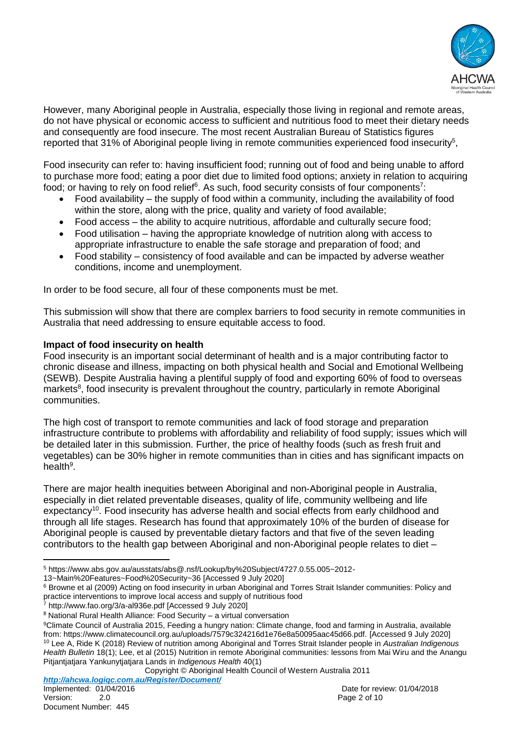

However, many Aboriginal people in Australia, especially those living in regional and remote areas, do not have physical or economic access to sufficient and nutritious food to meet their dietary needs and consequently are food insecure. The most recent Australian Bureau of Statistics figures reported that 31% of Aboriginal people living in remote communities experienced food insecurity<sup>5</sup>,

Food insecurity can refer to: having insufficient food; running out of food and being unable to afford to purchase more food; eating a poor diet due to limited food options; anxiety in relation to acquiring food; or having to rely on food relief $^6$ . As such, food security consists of four components $^7$ :

- $\bullet$  Food availability the supply of food within a community, including the availability of food within the store, along with the price, quality and variety of food available;
- Food access the ability to acquire nutritious, affordable and culturally secure food;
- Food utilisation having the appropriate knowledge of nutrition along with access to appropriate infrastructure to enable the safe storage and preparation of food; and
- Food stability consistency of food available and can be impacted by adverse weather conditions, income and unemployment.

In order to be food secure, all four of these components must be met.

This submission will show that there are complex barriers to food security in remote communities in Australia that need addressing to ensure equitable access to food.

## **Impact of food insecurity on health**

Food insecurity is an important social determinant of health and is a major contributing factor to chronic disease and illness, impacting on both physical health and Social and Emotional Wellbeing (SEWB). Despite Australia having a plentiful supply of food and exporting 60% of food to overseas markets<sup>8</sup>, food insecurity is prevalent throughout the country, particularly in remote Aboriginal communities.

The high cost of transport to remote communities and lack of food storage and preparation infrastructure contribute to problems with affordability and reliability of food supply; issues which will be detailed later in this submission. Further, the price of healthy foods (such as fresh fruit and vegetables) can be 30% higher in remote communities than in cities and has significant impacts on health<sup>9</sup>.

There are major health inequities between Aboriginal and non-Aboriginal people in Australia, especially in diet related preventable diseases, quality of life, community wellbeing and life expectancy<sup>10</sup>. Food insecurity has adverse health and social effects from early childhood and through all life stages. Research has found that approximately 10% of the burden of disease for Aboriginal people is caused by preventable dietary factors and that five of the seven leading contributors to the health gap between Aboriginal and non-Aboriginal people relates to diet –

13~Main%20Features~Food%20Security~36 [Accessed 9 July 2020]

<sup>7</sup> <http://www.fao.org/3/a-al936e.pdf> [Accessed 9 July 2020]

l <sup>5</sup> https://www.abs.gov.au/ausstats/abs@.nsf/Lookup/by%20Subject/4727.0.55.005~2012-

<sup>6</sup> Browne et al (2009) Acting on food insecurity in urban Aboriginal and Torres Strait Islander communities: Policy and practice interventions to improve local access and supply of nutritious food

<sup>8</sup> National Rural Health Alliance: Food Security – a virtual conversation

<sup>&</sup>lt;sup>9</sup>Climate Council of Australia 2015, Feeding a hungry nation: Climate change, food and farming in Australia, available from: https://www.climatecouncil.org.au/uploads/7579c324216d1e76e8a50095aac45d66.pdf. [Accessed 9 July 2020] <sup>10</sup> Lee A, Ride K (2018) Review of nutrition among Aboriginal and Torres Strait Islander people in *Australian Indigenous Health Bulletin* 18(1); Lee, et al (2015) Nutrition in remote Aboriginal communities: lessons from Mai Wiru and the Anangu Pitjantjatjara Yankunytjatjara Lands in *Indigenous Health* 40(1)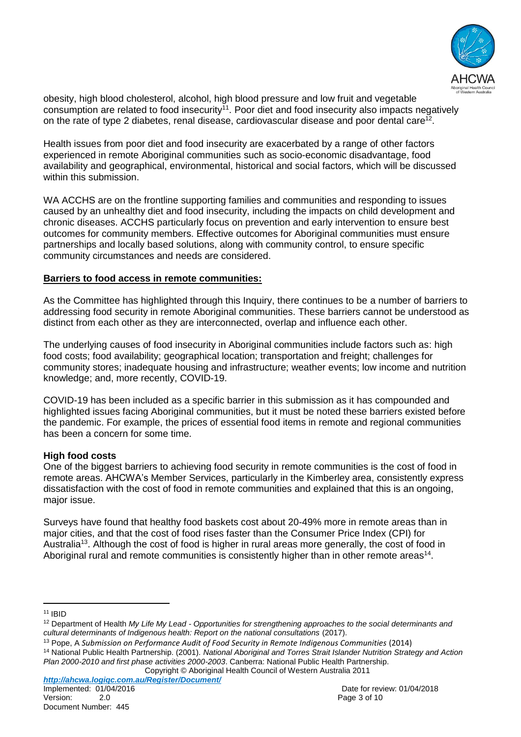

obesity, high blood cholesterol, alcohol, high blood pressure and low fruit and vegetable consumption are related to food insecurity<sup>11</sup>. Poor diet and food insecurity also impacts negatively on the rate of type 2 diabetes, renal disease, cardiovascular disease and poor dental care<sup>12</sup>.

Health issues from poor diet and food insecurity are exacerbated by a range of other factors experienced in remote Aboriginal communities such as socio-economic disadvantage, food availability and geographical, environmental, historical and social factors, which will be discussed within this submission.

WA ACCHS are on the frontline supporting families and communities and responding to issues caused by an unhealthy diet and food insecurity, including the impacts on child development and chronic diseases. ACCHS particularly focus on prevention and early intervention to ensure best outcomes for community members. Effective outcomes for Aboriginal communities must ensure partnerships and locally based solutions, along with community control, to ensure specific community circumstances and needs are considered.

## **Barriers to food access in remote communities:**

As the Committee has highlighted through this Inquiry, there continues to be a number of barriers to addressing food security in remote Aboriginal communities. These barriers cannot be understood as distinct from each other as they are interconnected, overlap and influence each other.

The underlying causes of food insecurity in Aboriginal communities include factors such as: high food costs; food availability; geographical location; transportation and freight; challenges for community stores; inadequate housing and infrastructure; weather events; low income and nutrition knowledge; and, more recently, COVID-19.

COVID-19 has been included as a specific barrier in this submission as it has compounded and highlighted issues facing Aboriginal communities, but it must be noted these barriers existed before the pandemic. For example, the prices of essential food items in remote and regional communities has been a concern for some time.

# **High food costs**

One of the biggest barriers to achieving food security in remote communities is the cost of food in remote areas. AHCWA's Member Services, particularly in the Kimberley area, consistently express dissatisfaction with the cost of food in remote communities and explained that this is an ongoing, major issue.

Surveys have found that healthy food baskets cost about 20-49% more in remote areas than in major cities, and that the cost of food rises faster than the Consumer Price Index (CPI) for Australia<sup>13</sup>. Although the cost of food is higher in rural areas more generally, the cost of food in Aboriginal rural and remote communities is consistently higher than in other remote areas<sup>14</sup>.

 $11$  IBID

l

<sup>12</sup> Department of Health *My Life My Lead - Opportunities for strengthening approaches to the social determinants and cultural determinants of Indigenous health: Report on the national consultations* (2017).

<sup>13</sup> Pope, A *Submission on Performance Audit of Food Security in Remote Indigenous Communities* (2014)

<sup>14</sup> National Public Health Partnership. (2001). *National Aboriginal and Torres Strait Islander Nutrition Strategy and Action Plan 2000-2010 and first phase activities 2000-2003*. Canberra: National Public Health Partnership.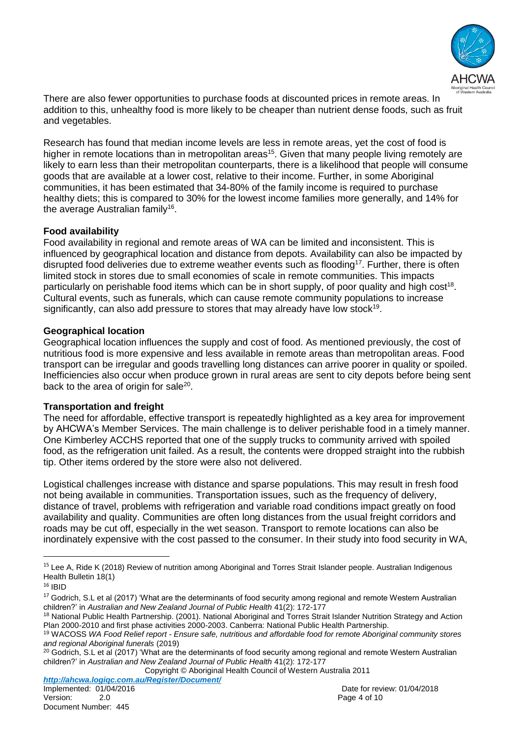

There are also fewer opportunities to purchase foods at discounted prices in remote areas. In addition to this, unhealthy food is more likely to be cheaper than nutrient dense foods, such as fruit and vegetables.

Research has found that median income levels are less in remote areas, yet the cost of food is higher in remote locations than in metropolitan areas<sup>15</sup>. Given that many people living remotely are likely to earn less than their metropolitan counterparts, there is a likelihood that people will consume goods that are available at a lower cost, relative to their income. Further, in some Aboriginal communities, it has been estimated that 34-80% of the family income is required to purchase healthy diets; this is compared to 30% for the lowest income families more generally, and 14% for the average Australian family<sup>16</sup>.

## **Food availability**

Food availability in regional and remote areas of WA can be limited and inconsistent. This is influenced by geographical location and distance from depots. Availability can also be impacted by disrupted food deliveries due to extreme weather events such as flooding<sup>17</sup>. Further, there is often limited stock in stores due to small economies of scale in remote communities. This impacts particularly on perishable food items which can be in short supply, of poor quality and high  $cost^{18}$ . Cultural events, such as funerals, which can cause remote community populations to increase significantly, can also add pressure to stores that may already have low stock<sup>19</sup>.

### **Geographical location**

Geographical location influences the supply and cost of food. As mentioned previously, the cost of nutritious food is more expensive and less available in remote areas than metropolitan areas. Food transport can be irregular and goods travelling long distances can arrive poorer in quality or spoiled. Inefficiencies also occur when produce grown in rural areas are sent to city depots before being sent back to the area of origin for sale<sup>20</sup>.

### **Transportation and freight**

The need for affordable, effective transport is repeatedly highlighted as a key area for improvement by AHCWA's Member Services. The main challenge is to deliver perishable food in a timely manner. One Kimberley ACCHS reported that one of the supply trucks to community arrived with spoiled food, as the refrigeration unit failed. As a result, the contents were dropped straight into the rubbish tip. Other items ordered by the store were also not delivered.

Logistical challenges increase with distance and sparse populations. This may result in fresh food not being available in communities. Transportation issues, such as the frequency of delivery, distance of travel, problems with refrigeration and variable road conditions impact greatly on food availability and quality. Communities are often long distances from the usual freight corridors and roads may be cut off, especially in the wet season. Transport to remote locations can also be inordinately expensive with the cost passed to the consumer. In their study into food security in WA,

l

Copyright © Aboriginal Health Council of Western Australia 2011

*http://ahcwa.logiqc.com.au/Register/Document/*

<sup>&</sup>lt;sup>15</sup> Lee A, Ride K (2018) Review of nutrition among Aboriginal and Torres Strait Islander people. Australian Indigenous Health Bulletin 18(1)

<sup>16</sup> IBID

<sup>&</sup>lt;sup>17</sup> Godrich, S.L et al (2017) 'What are the determinants of food security among regional and remote Western Australian children?' in *Australian and New Zealand Journal of Public Health* 41(2): 172-177

<sup>&</sup>lt;sup>18</sup> National Public Health Partnership. (2001). National Aboriginal and Torres Strait Islander Nutrition Strategy and Action Plan 2000-2010 and first phase activities 2000-2003. Canberra: National Public Health Partnership.

<sup>19</sup> WACOSS *WA Food Relief report - Ensure safe, nutritious and affordable food for remote Aboriginal community stores and regional Aboriginal funerals* (2019)

<sup>&</sup>lt;sup>20</sup> Godrich, S.L et al (2017) 'What are the determinants of food security among regional and remote Western Australian children?' in *Australian and New Zealand Journal of Public Health* 41(2): 172-177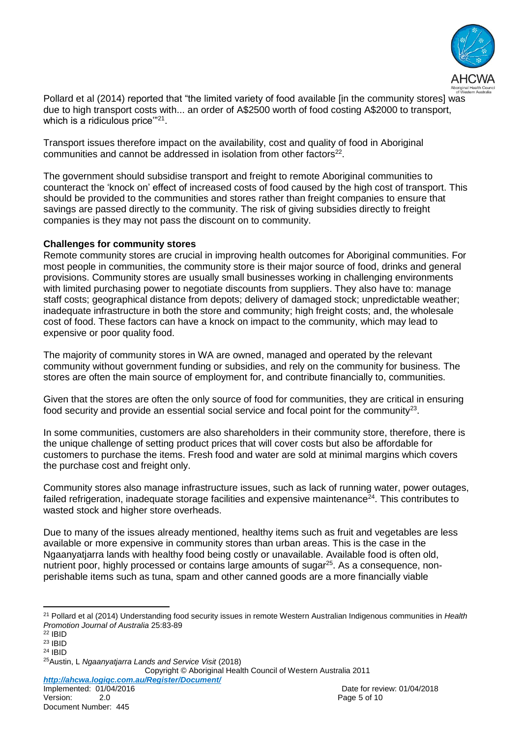

Pollard et al (2014) reported that "the limited variety of food available [in the community stores] was due to high transport costs with... an order of A\$2500 worth of food costing A\$2000 to transport, which is a ridiculous price'"<sup>21</sup>.

Transport issues therefore impact on the availability, cost and quality of food in Aboriginal communities and cannot be addressed in isolation from other factors $^{22}$ .

The government should subsidise transport and freight to remote Aboriginal communities to counteract the 'knock on' effect of increased costs of food caused by the high cost of transport. This should be provided to the communities and stores rather than freight companies to ensure that savings are passed directly to the community. The risk of giving subsidies directly to freight companies is they may not pass the discount on to community.

### **Challenges for community stores**

Remote community stores are crucial in improving health outcomes for Aboriginal communities. For most people in communities, the community store is their major source of food, drinks and general provisions. Community stores are usually small businesses working in challenging environments with limited purchasing power to negotiate discounts from suppliers. They also have to: manage staff costs; geographical distance from depots; delivery of damaged stock; unpredictable weather; inadequate infrastructure in both the store and community; high freight costs; and, the wholesale cost of food. These factors can have a knock on impact to the community, which may lead to expensive or poor quality food.

The majority of community stores in WA are owned, managed and operated by the relevant community without government funding or subsidies, and rely on the community for business. The stores are often the main source of employment for, and contribute financially to, communities.

Given that the stores are often the only source of food for communities, they are critical in ensuring food security and provide an essential social service and focal point for the community<sup>23</sup>.

In some communities, customers are also shareholders in their community store, therefore, there is the unique challenge of setting product prices that will cover costs but also be affordable for customers to purchase the items. Fresh food and water are sold at minimal margins which covers the purchase cost and freight only.

Community stores also manage infrastructure issues, such as lack of running water, power outages, failed refrigeration, inadequate storage facilities and expensive maintenance<sup>24</sup>. This contributes to wasted stock and higher store overheads.

Due to many of the issues already mentioned, healthy items such as fruit and vegetables are less available or more expensive in community stores than urban areas. This is the case in the Ngaanyatjarra lands with healthy food being costly or unavailable. Available food is often old, nutrient poor, highly processed or contains large amounts of sugar<sup>25</sup>. As a consequence, nonperishable items such as tuna, spam and other canned goods are a more financially viable

Copyright © Aboriginal Health Council of Western Australia 2011

*http://ahcwa.logiqc.com.au/Register/Document/*

l <sup>21</sup> Pollard et al (2014) Understanding food security issues in remote Western Australian Indigenous communities in *Health Promotion Journal of Australia* 25:83-89

<sup>22</sup> IBID

<sup>23</sup> IBID

<sup>24</sup> IBID

<sup>25</sup>Austin, L *Ngaanyatjarra Lands and Service Visit* (2018)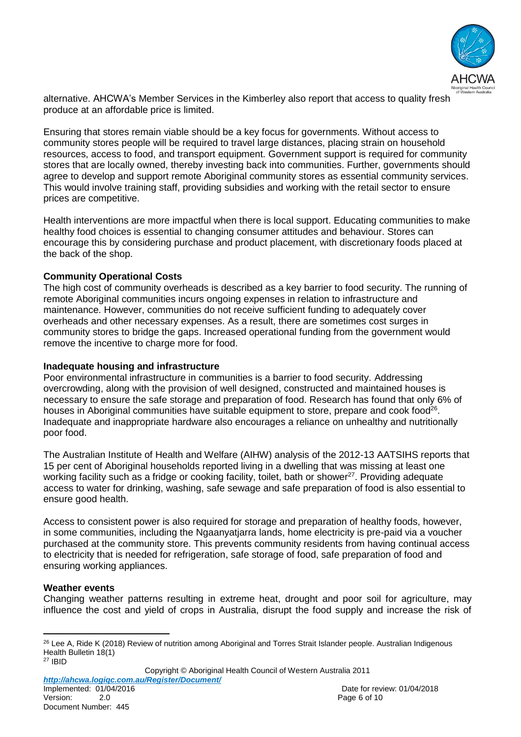

alternative. AHCWA's Member Services in the Kimberley also report that access to quality fresh produce at an affordable price is limited.

Ensuring that stores remain viable should be a key focus for governments. Without access to community stores people will be required to travel large distances, placing strain on household resources, access to food, and transport equipment. Government support is required for community stores that are locally owned, thereby investing back into communities. Further, governments should agree to develop and support remote Aboriginal community stores as essential community services. This would involve training staff, providing subsidies and working with the retail sector to ensure prices are competitive.

Health interventions are more impactful when there is local support. Educating communities to make healthy food choices is essential to changing consumer attitudes and behaviour. Stores can encourage this by considering purchase and product placement, with discretionary foods placed at the back of the shop.

## **Community Operational Costs**

The high cost of community overheads is described as a key barrier to food security. The running of remote Aboriginal communities incurs ongoing expenses in relation to infrastructure and maintenance. However, communities do not receive sufficient funding to adequately cover overheads and other necessary expenses. As a result, there are sometimes cost surges in community stores to bridge the gaps. Increased operational funding from the government would remove the incentive to charge more for food.

### **Inadequate housing and infrastructure**

Poor environmental infrastructure in communities is a barrier to food security. Addressing overcrowding, along with the provision of well designed, constructed and maintained houses is necessary to ensure the safe storage and preparation of food. Research has found that only 6% of houses in Aboriginal communities have suitable equipment to store, prepare and cook food<sup>26</sup>. Inadequate and inappropriate hardware also encourages a reliance on unhealthy and nutritionally poor food.

The Australian Institute of Health and Welfare (AIHW) analysis of the 2012-13 AATSIHS reports that 15 per cent of Aboriginal households reported living in a dwelling that was missing at least one working facility such as a fridge or cooking facility, toilet, bath or shower<sup>27</sup>. Providing adequate access to water for drinking, washing, safe sewage and safe preparation of food is also essential to ensure good health.

Access to consistent power is also required for storage and preparation of healthy foods, however, in some communities, including the Ngaanyatjarra lands, home electricity is pre-paid via a voucher purchased at the community store. This prevents community residents from having continual access to electricity that is needed for refrigeration, safe storage of food, safe preparation of food and ensuring working appliances.

### **Weather events**

Changing weather patterns resulting in extreme heat, drought and poor soil for agriculture, may influence the cost and yield of crops in Australia, disrupt the food supply and increase the risk of

Copyright © Aboriginal Health Council of Western Australia 2011 *http://ahcwa.logiqc.com.au/Register/Document/*

l <sup>26</sup> Lee A, Ride K (2018) Review of nutrition among Aboriginal and Torres Strait Islander people. Australian Indigenous Health Bulletin 18(1) <sup>27</sup> IBID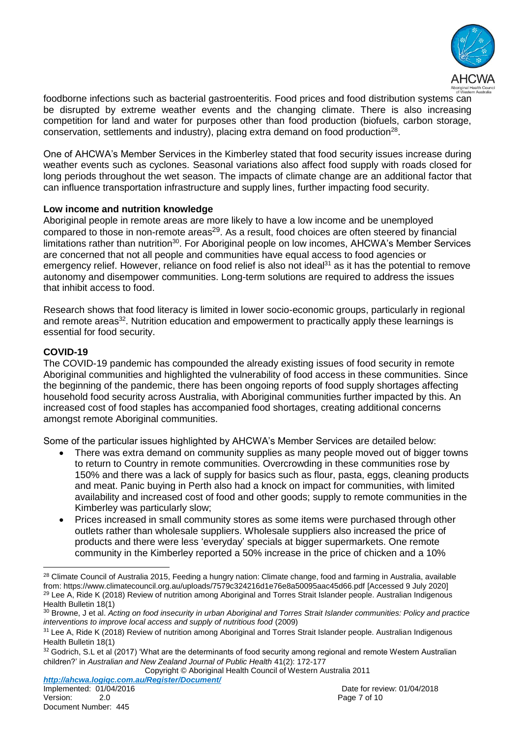

foodborne infections such as bacterial gastroenteritis. Food prices and food distribution systems can be disrupted by extreme weather events and the changing climate. There is also increasing competition for land and water for purposes other than food production (biofuels, carbon storage, conservation, settlements and industry), placing extra demand on food production $^{28}$ .

One of AHCWA's Member Services in the Kimberley stated that food security issues increase during weather events such as cyclones. Seasonal variations also affect food supply with roads closed for long periods throughout the wet season. The impacts of climate change are an additional factor that can influence transportation infrastructure and supply lines, further impacting food security.

# **Low income and nutrition knowledge**

Aboriginal people in remote areas are more likely to have a low income and be unemployed compared to those in non-remote areas<sup>29</sup>. As a result, food choices are often steered by financial limitations rather than nutrition<sup>30</sup>. For Aboriginal people on low incomes, AHCWA's Member Services are concerned that not all people and communities have equal access to food agencies or emergency relief. However, reliance on food relief is also not ideal<sup>31</sup> as it has the potential to remove autonomy and disempower communities. Long-term solutions are required to address the issues that inhibit access to food.

Research shows that food literacy is limited in lower socio-economic groups, particularly in regional and remote areas<sup>32</sup>. Nutrition education and empowerment to practically apply these learnings is essential for food security.

### **COVID-19**

The COVID-19 pandemic has compounded the already existing issues of food security in remote Aboriginal communities and highlighted the vulnerability of food access in these communities. Since the beginning of the pandemic, there has been ongoing reports of food supply shortages affecting household food security across Australia, with Aboriginal communities further impacted by this. An increased cost of food staples has accompanied food shortages, creating additional concerns amongst remote Aboriginal communities.

Some of the particular issues highlighted by AHCWA's Member Services are detailed below:

- There was extra demand on community supplies as many people moved out of bigger towns to return to Country in remote communities. Overcrowding in these communities rose by 150% and there was a lack of supply for basics such as flour, pasta, eggs, cleaning products and meat. Panic buying in Perth also had a knock on impact for communities, with limited availability and increased cost of food and other goods; supply to remote communities in the Kimberley was particularly slow;
- Prices increased in small community stores as some items were purchased through other outlets rather than wholesale suppliers. Wholesale suppliers also increased the price of products and there were less 'everyday' specials at bigger supermarkets. One remote community in the Kimberley reported a 50% increase in the price of chicken and a 10%

Copyright © Aboriginal Health Council of Western Australia 2011 *http://ahcwa.logiqc.com.au/Register/Document/*

 $\overline{a}$ <sup>28</sup> Climate Council of Australia 2015, Feeding a hungry nation: Climate change, food and farming in Australia, available from[: https://www.climatecouncil.org.au/uploads/7579c324216d1e76e8a50095aac45d66.pdf](https://www.climatecouncil.org.au/uploads/7579c324216d1e76e8a50095aac45d66.pdf) [Accessed 9 July 2020] <sup>29</sup> Lee A, Ride K (2018) Review of nutrition among Aboriginal and Torres Strait Islander people. Australian Indigenous Health Bulletin 18(1)

<sup>30</sup> Browne, J et al. *Acting on food insecurity in urban Aboriginal and Torres Strait Islander communities: Policy and practice interventions to improve local access and supply of nutritious food* (2009)

 $31$  Lee A, Ride K (2018) Review of nutrition among Aboriginal and Torres Strait Islander people. Australian Indigenous Health Bulletin 18(1)

 $32$  Godrich, S.L et al (2017) 'What are the determinants of food security among regional and remote Western Australian children?' in *Australian and New Zealand Journal of Public Health* 41(2): 172-177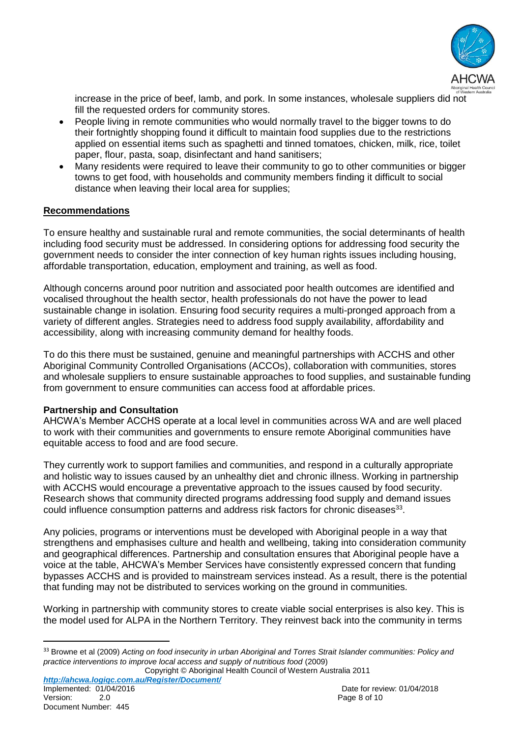

increase in the price of beef, lamb, and pork. In some instances, wholesale suppliers did not fill the requested orders for community stores.

- People living in remote communities who would normally travel to the bigger towns to do their fortnightly shopping found it difficult to maintain food supplies due to the restrictions applied on essential items such as spaghetti and tinned tomatoes, chicken, milk, rice, toilet paper, flour, pasta, soap, disinfectant and hand sanitisers;
- Many residents were required to leave their community to go to other communities or bigger towns to get food, with households and community members finding it difficult to social distance when leaving their local area for supplies;

## **Recommendations**

To ensure healthy and sustainable rural and remote communities, the social determinants of health including food security must be addressed. In considering options for addressing food security the government needs to consider the inter connection of key human rights issues including housing, affordable transportation, education, employment and training, as well as food.

Although concerns around poor nutrition and associated poor health outcomes are identified and vocalised throughout the health sector, health professionals do not have the power to lead sustainable change in isolation. Ensuring food security requires a multi-pronged approach from a variety of different angles. Strategies need to address food supply availability, affordability and accessibility, along with increasing community demand for healthy foods.

To do this there must be sustained, genuine and meaningful partnerships with ACCHS and other Aboriginal Community Controlled Organisations (ACCOs), collaboration with communities, stores and wholesale suppliers to ensure sustainable approaches to food supplies, and sustainable funding from government to ensure communities can access food at affordable prices.

### **Partnership and Consultation**

Document Number: 445

 $\overline{a}$ 

AHCWA's Member ACCHS operate at a local level in communities across WA and are well placed to work with their communities and governments to ensure remote Aboriginal communities have equitable access to food and are food secure.

They currently work to support families and communities, and respond in a culturally appropriate and holistic way to issues caused by an unhealthy diet and chronic illness. Working in partnership with ACCHS would encourage a preventative approach to the issues caused by food security. Research shows that community directed programs addressing food supply and demand issues could influence consumption patterns and address risk factors for chronic diseases $^{33}$ .

Any policies, programs or interventions must be developed with Aboriginal people in a way that strengthens and emphasises culture and health and wellbeing, taking into consideration community and geographical differences. Partnership and consultation ensures that Aboriginal people have a voice at the table, AHCWA's Member Services have consistently expressed concern that funding bypasses ACCHS and is provided to mainstream services instead. As a result, there is the potential that funding may not be distributed to services working on the ground in communities.

Working in partnership with community stores to create viable social enterprises is also key. This is the model used for ALPA in the Northern Territory. They reinvest back into the community in terms

<sup>33</sup> Browne et al (2009) *Acting on food insecurity in urban Aboriginal and Torres Strait Islander communities: Policy and practice interventions to improve local access and supply of nutritious food* (2009)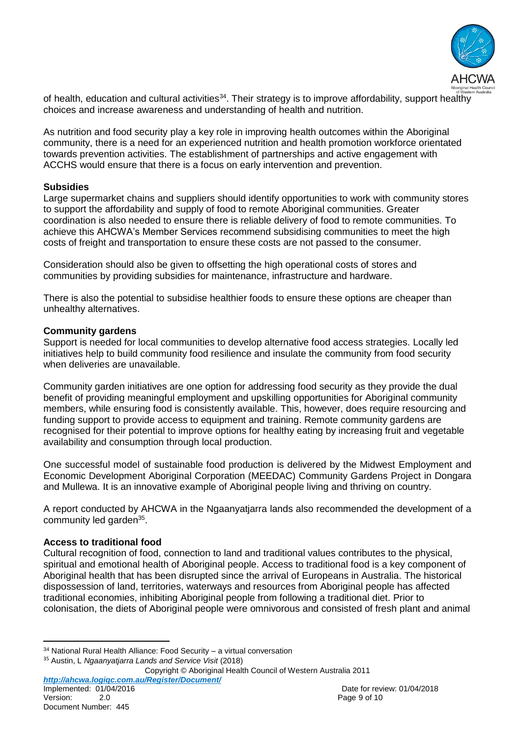

of health, education and cultural activities<sup>34</sup>. Their strategy is to improve affordability, support healthy choices and increase awareness and understanding of health and nutrition.

As nutrition and food security play a key role in improving health outcomes within the Aboriginal community, there is a need for an experienced nutrition and health promotion workforce orientated towards prevention activities. The establishment of partnerships and active engagement with ACCHS would ensure that there is a focus on early intervention and prevention.

### **Subsidies**

Large supermarket chains and suppliers should identify opportunities to work with community stores to support the affordability and supply of food to remote Aboriginal communities. Greater coordination is also needed to ensure there is reliable delivery of food to remote communities. To achieve this AHCWA's Member Services recommend subsidising communities to meet the high costs of freight and transportation to ensure these costs are not passed to the consumer.

Consideration should also be given to offsetting the high operational costs of stores and communities by providing subsidies for maintenance, infrastructure and hardware.

There is also the potential to subsidise healthier foods to ensure these options are cheaper than unhealthy alternatives.

#### **Community gardens**

Support is needed for local communities to develop alternative food access strategies. Locally led initiatives help to build community food resilience and insulate the community from food security when deliveries are unavailable.

Community garden initiatives are one option for addressing food security as they provide the dual benefit of providing meaningful employment and upskilling opportunities for Aboriginal community members, while ensuring food is consistently available. This, however, does require resourcing and funding support to provide access to equipment and training. Remote community gardens are recognised for their potential to improve options for healthy eating by increasing fruit and vegetable availability and consumption through local production.

One successful model of sustainable food production is delivered by the Midwest Employment and Economic Development Aboriginal Corporation (MEEDAC) Community Gardens Project in Dongara and Mullewa. It is an innovative example of Aboriginal people living and thriving on country.

A report conducted by AHCWA in the Ngaanyatjarra lands also recommended the development of a community led garden<sup>35</sup>.

#### **Access to traditional food**

Cultural recognition of food, connection to land and traditional values contributes to the physical, spiritual and emotional health of Aboriginal people. Access to traditional food is a key component of Aboriginal health that has been disrupted since the arrival of Europeans in Australia. The historical dispossession of land, territories, waterways and resources from Aboriginal people has affected traditional economies, inhibiting Aboriginal people from following a traditional diet. Prior to colonisation, the diets of Aboriginal people were omnivorous and consisted of fresh plant and animal

<sup>35</sup> Austin, L *Ngaanyatjarra Lands and Service Visit* (2018)

Copyright © Aboriginal Health Council of Western Australia 2011

*http://ahcwa.logiqc.com.au/Register/Document/* Version: 2.0 Page 9 of 10

 $\overline{a}$  $34$  National Rural Health Alliance: Food Security – a virtual conversation